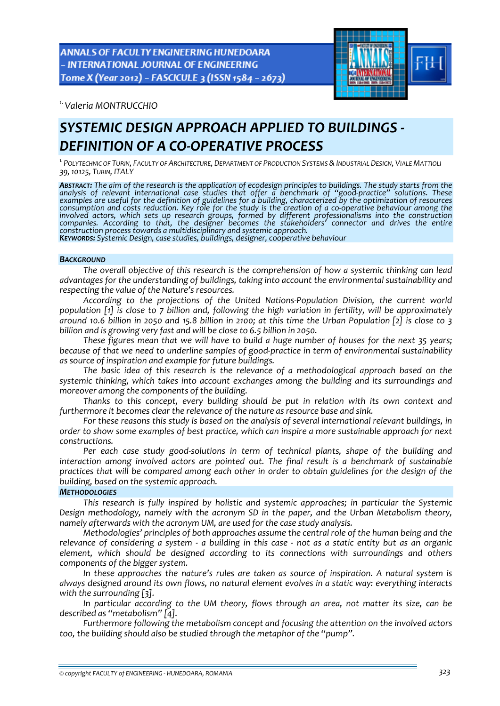ANNALS OF FACULTY ENGINEERING HUNEDOARA - INTERNATIONAL JOURNAL OF ENGINEERING Tome X (Year 2012) - FASCICULE 3 (ISSN 1584 - 2673)



*1.Valeria MONTRUCCHIO* 

# *SYSTEMIC DESIGN APPROACH APPLIED TO BUILDINGS ‐ DEFINITION OF A CO‐OPERATIVE PROCESS*

*1.POLYTECHNIC OF TURIN, FACULTY OF ARCHITECTURE, DEPARTMENT OF PRODUCTION SYSTEMS &INDUSTRIAL DESIGN, VIALE MATTIOLI 39,10125, TURIN, ITALY*

ABSTRACT: The aim of the research is the application of ecodesign principles to buildings. The study starts from the *analysis of relevant international case studies that offer a benchmark of "good‐practice" solutions. These* examples are useful for the definition of guidelines for a building, characterized by the optimization of resources consumption and costs reduction. Key role for the study is the creation of a co-operative behaviour among the *involved actors, which sets up research groups, formed by different professionalisms into the construction companies. According to that, the designer becomes the stakeholders' connector and drives the entire* KEYWORDS: Systemic Design, case studies, buildings, designer, cooperative behaviour

#### *BACKGROUND*

*The overall objective of this research is the comprehension of how a systemic thinking can lead advantages for the understanding of buildings, taking into account the environmental sustainability and respecting the value of the Nature's resources.*

*According to the projections of the United Nations‐Population Division, the current world* population [1] is close to 7 billion and, following the high variation in fertility, will be approximately around 10.6 billion in 2050 and 15.8 billion in 2100; at this time the Urban Population [2] is close to 3 *billion and is growing very fast and will be close to 6.5 billion in 2050.*

These figures mean that we will have to build a huge number of houses for the next 35 years; *because of that we need to underline samples of good‐practice in term of environmental sustainability as source of inspiration and example for future buildings.* 

*The basic idea of this research is the relevance of a methodological approach based on the systemic thinking, which takes into account exchanges among the building and its surroundings and moreover among the components of the building.* 

*Thanks to this concept, every building should be put in relation with its own context and furthermore it becomes clear the relevance of the nature as resource base and sink.* 

*For these reasons this study is based on the analysis of several international relevant buildings, in order to show some examples of best practice, which can inspire a more sustainable approach for next constructions.* 

*Per each case study good‐solutions in term of technical plants, shape of the building and interaction among involved actors are pointed out. The final result is a benchmark of sustainable* practices that will be compared among each other in order to obtain guidelines for the design of the *building, based on the systemic approach.*

## *METHODOLOGIES*

*This research is fully inspired by holistic and systemic approaches; in particular the Systemic Design methodology, namely with the acronym SD in the paper, and the Urban Metabolism theory, namely afterwards with the acronym UM, are used for the case study analysis.*

*Methodologies' principles of both approaches assume the central role of the human being and the* relevance of considering a system - a building in this case - not as a static entity but as an organic *element, which should be designed according to its connections with surroundings and others components of the bigger system.* 

*In these approaches the nature's rules are taken as source of inspiration. A natural system is always designed around its own flows, no natural element evolves in a static way: everything interacts with the surrounding [3].*

*In particular according to the UM theory, flows through an area, not matter its size, can be described as "metabolism" [4].*

*Furthermore following the metabolism concept and focusing the attention on the involved actors too, the building should also be studied through the metaphor of the "pump".*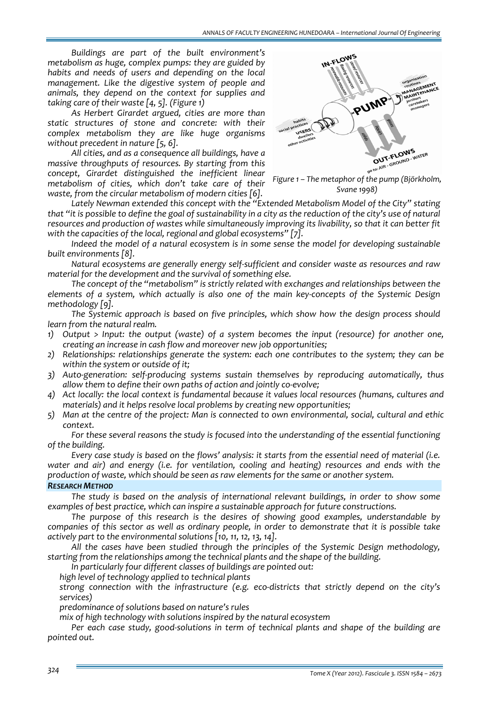*Buildings are part of the built environment's metabolism as huge, complex pumps: they are guided by habits and needs of users and depending on the local management. Like the digestive system of people and animals, they depend on the context for supplies and taking care of their waste [4, 5]. (Figure 1)* 

*As Herbert Girardet argued, cities are more than static structures of stone and concrete: with their complex metabolism they are like huge organisms without precedent in nature [5, 6].* 

*All cities, and as a consequence all buildings, have a massive throughputs of resources. By starting from this concept, Girardet distinguished the inefficient linear metabolism of cities, which don't take care of their waste, from the circular metabolism of modern cities [6].*



*Svane 1998)*

*Lately Newman extended this concept with the "Extended Metabolism Model of the City" stating* that "it is possible to define the goal of sustainability in a city as the reduction of the city's use of natural *resources and production of wastes while simultaneously improving its livability, so that it can better fit with the capacities of the local, regional and global ecosystems" [7].* 

*Indeed the model of a natural ecosystem is in some sense the model for developing sustainable built environments [8].* 

*Natural ecosystems are generally energy self‐sufficient and consider waste as resources and raw material for the development and the survival of something else.*

*The concept of the "metabolism" is strictly related with exchanges and relationships between the* elements of a system, which actually is also one of the main key-concepts of the Systemic Design *methodology [9].*

*The Systemic approach is based on five principles, which show how the design process should learn from the natural realm.* 

- *1) Output > Input: the output (waste) of a system becomes the input (resource) for another one, creating an increase in cash flow and moreover new job opportunities;*
- *2) Relationships: relationships generate the system: each one contributes to the system; they can be within the system or outside of it;*
- *3) Auto‐generation: self‐producing systems sustain themselves by reproducing automatically, thus allow them to define their own paths of action and jointly co‐evolve;*
- *4) Act locally: the local context is fundamental because it values local resources (humans, cultures and materials) and it helps resolve local problems by creating new opportunities;*
- 5) Man at the centre of the project: Man is connected to own environmental, social, cultural and ethic *context.*

*For these several reasons the study is focused into the understanding of the essential functioning of the building.* 

Every case study is based on the flows' analysis: it starts from the essential need of material (i.e. *water and air) and energy (i.e. for ventilation, cooling and heating) resources and ends with the production of waste, which should be seen as raw elements for the same or another system.*

## *RESEARCH METHOD*

*The study is based on the analysis of international relevant buildings, in order to show some examples of best practice, which can inspire a sustainable approach for future constructions.* 

*The purpose of this research is the desires of showing good examples, understandable by* companies of this sector as well as ordinary people, in order to demonstrate that it is possible take *actively part to the environmental solutions [10, 11, 12, 13, 14].* 

*All the cases have been studied through the principles of the Systemic Design methodology, starting from the relationships among the technical plants and the shape of the building.* 

*In particularly four different classes of buildings are pointed out:*

*high level of technology applied to technical plants*

 *strong connection with the infrastructure (e.g. eco‐districts that strictly depend on the city's services)* 

*predominance of solutions based on nature's rules*

*mix of high technology with solutions inspired by the natural ecosystem*

*Per each case study, good‐solutions in term of technical plants and shape of the building are pointed out.*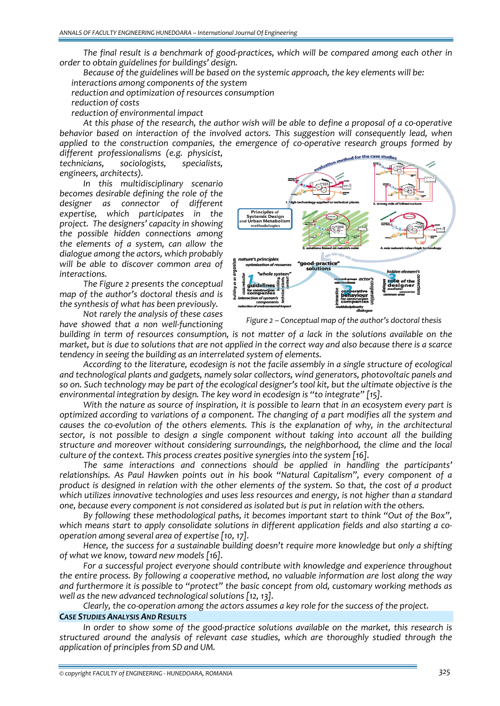*The final result is a benchmark of good‐practices, which will be compared among each other in order to obtain guidelines for buildings' design.* 

*Because of the guidelines will be based on the systemic approach, the key elements will be: interactions among components of the system*

*reduction and optimization of resources consumption*

*reduction of costs*

*reduction of environmental impact*

At this phase of the research, the author wish will be able to define a proposal of a co-operative *behavior based on interaction of the involved actors. This suggestion will consequently lead, when applied to the construction companies, the emergence of co‐operative research groups formed by*

*different professionalisms (e.g. physicist, technicians, sociologists, specialists, engineers, architects).* 

*In this multidisciplinary scenario becomes desirable defining the role of the designer as connector of different expertise, which participates in the project. The designers' capacity in showing the possible hidden connections among the elements of a system, can allow the dialogue among the actors, which probably will be able to discover common area of interactions.*

*The Figure 2 presents the conceptual map of the author's doctoral thesis and is the synthesis of what has been previously.*



*Figure 2 – Conceptual map of the author's doctoral thesis*

*Not rarely the analysis of these cases have showed that a non well‐functioning*

building in term of resources consumption, is not matter of a lack in the solutions available on the market, but is due to solutions that are not applied in the correct way and also because there is a scarce *tendency in seeing the building as an interrelated system of elements.* 

*According to the literature, ecodesign is not the facile assembly in a single structure of ecological and technological plants and gadgets, namely solar collectors, wind generators, photovoltaic panels and* so on. Such technology may be part of the ecological designer's tool kit, but the ultimate objective is the *environmental integration by design. The key word in ecodesign is "to integrate" [15].*

With the nature as source of inspiration, it is possible to learn that in an ecosystem every part is *optimized according to variations of a component. The changing of a part modifies all the system and* causes the co-evolution of the others elements. This is the explanation of why, in the architectural *sector, is not possible to design a single component without taking into account all the building structure and moreover without considering surroundings, the neighborhood, the clime and the local culture of the context. This process creates positive synergies into the system [16].*

*The same interactions and connections should be applied in handling the participants' relationships. As Paul Hawken points out in his book "Natural Capitalism", every component of a* product is designed in relation with the other elements of the system. So that, the cost of a product *which utilizes innovative technologies and uses less resources and energy, is not higher than a standard* one, because every component is not considered as isolated but is put in relation with the others.

*By following these methodological paths, it becomes important start to think "Out of the Box", which means start to apply consolidate solutions in different application fields and also starting a co‐ operation among several area of expertise [10, 17].* 

*Hence, the success for a sustainable building doesn't require more knowledge but only a shifting of what we know, toward new models [16].*

*For a successful project everyone should contribute with knowledge and experience throughout the entire process. By following a cooperative method, no valuable information are lost along the way and furthermore it is possible to "protect" the basic concept from old, customary working methods as well as the new advanced technological solutions [12, 13].*

*Clearly, the co‐operation among the actors assumes a key role for the success of the project.*

## *CASE STUDIES ANALYSIS AND RESULTS*

*In order to show some of the good‐practice solutions available on the market, this research is structured around the analysis of relevant case studies, which are thoroughly studied through the application of principles from SD and UM.*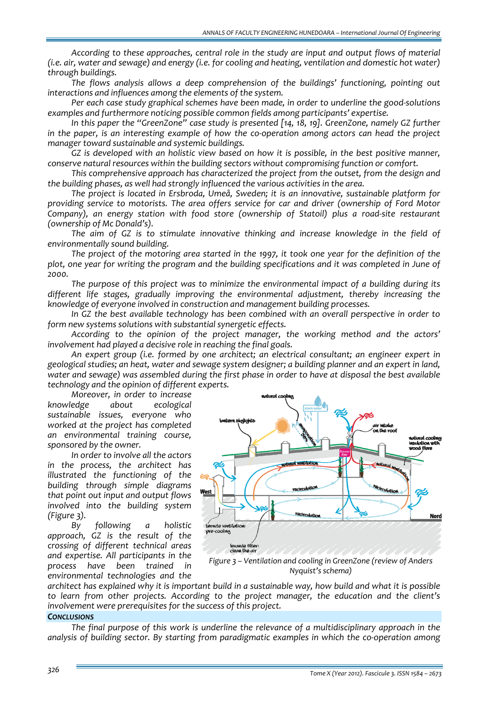*According to these approaches, central role in the study are input and output flows of material* (i.e. air, water and sewage) and energy (i.e. for cooling and heating, ventilation and domestic hot water) *through buildings.* 

*The flows analysis allows a deep comprehension of the buildings' functioning, pointing out interactions and influences among the elements of the system.* 

*Per each case study graphical schemes have been made, in order to underline the good‐solutions examples and furthermore noticing possible common fields among participants' expertise.*

*In this paper the "GreenZone" case study is presented [14, 18, 19]. GreenZone, namely GZ further* in the paper, is an interesting example of how the co-operation among actors can head the project *manager toward sustainable and systemic buildings.*

*GZ is developed with an holistic view based on how it is possible, in the best positive manner, conserve natural resources within the building sectors without compromising function or comfort.* 

*This comprehensive approach has characterized the project from the outset, from the design and the building phases, as well had strongly influenced the various activities in the area.*

*The project is located in Ersbroda, Umeå, Sweden; it is an innovative, sustainable platform for providing service to motorists. The area offers service for car and driver (ownership of Ford Motor Company), an energy station with food store (ownership of Statoil) plus a road‐site restaurant (ownership of Mc Donald's).*

*The aim of GZ is to stimulate innovative thinking and increase knowledge in the field of environmentally sound building.* 

The project of the motoring area started in the 1997, it took one year for the definition of the plot, one year for writing the program and the building specifications and it was completed in June of *2000.* 

*The purpose of this project was to minimize the environmental impact of a building during its different life stages, gradually improving the environmental adjustment, thereby increasing the knowledge of everyone involved in construction and management building processes.* 

*In GZ the best available technology has been combined with an overall perspective in order to form new systems solutions with substantial synergetic effects.* 

*According to the opinion of the project manager, the working method and the actors' involvement had played a decisive role in reaching the final goals.*

*An expert group (i.e. formed by one architect; an electrical consultant; an engineer expert in geological studies; an heat, water and sewage system designer; a building planner and an expert in land,* water and sewage) was assembled during the first phase in order to have at disposal the best available *technology and the opinion of different experts.*

*Moreover, in order to increase knowledge about ecological sustainable issues, everyone who worked at the project has completed an environmental training course, sponsored by the owner.*

*In order to involve all the actors in the process, the architect has illustrated the functioning of the building through simple diagrams that point out input and output flows involved into the building system (Figure 3).*

*By following a holistic approach, GZ is the result of the crossing of different technical areas and expertise. All participants in the process have been trained in environmental technologies and the*



*Nyquist's schema)*

architect has explained why it is important build in a sustainable way, how build and what it is possible *to learn from other projects. According to the project manager, the education and the client's involvement were prerequisites for the success of this project.*

### *CONCLUSIONS*

*The final purpose of this work is underline the relevance of a multidisciplinary approach in the analysis of building sector. By starting from paradigmatic examples in which the co‐operation among*